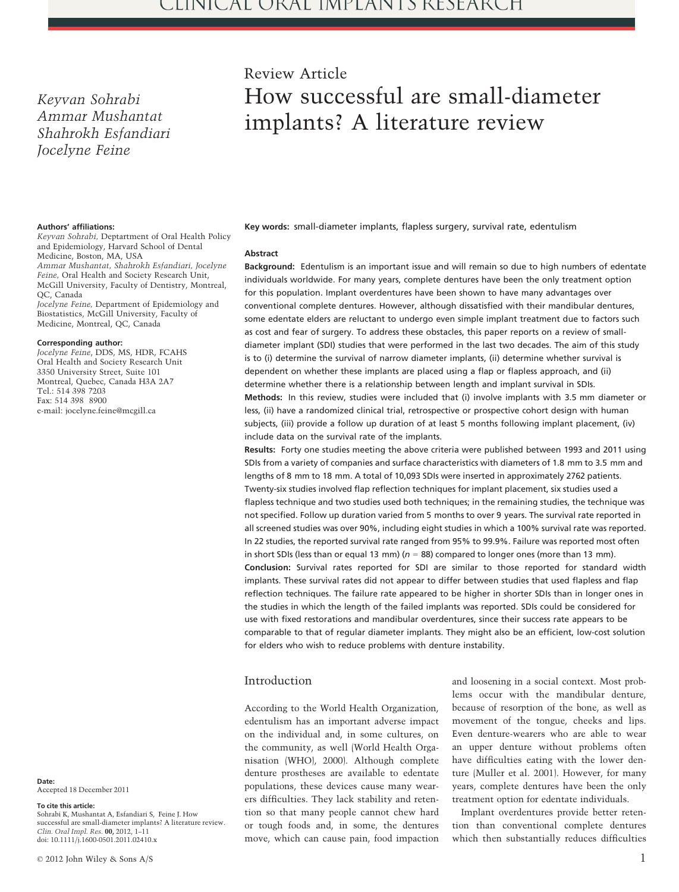Keyvan Sohrabi Ammar Mushantat Shahrokh Esfandiari Jocelyne Feine

# Review Article How successful are small-diameter implants? A literature review

#### Authors' affiliations:

Keyvan Sohrabi, Deptartment of Oral Health Policy and Epidemiology, Harvard School of Dental Medicine, Boston, MA, USA Ammar Mushantat, Shahrokh Esfandiari, Jocelyne Feine, Oral Health and Society Research Unit, McGill University, Faculty of Dentistry, Montreal, QC, Canada Jocelyne Feine, Department of Epidemiology and

Biostatistics, McGill University, Faculty of Medicine, Montreal, QC, Canada

#### Corresponding author:

Jocelyne Feine, DDS, MS, HDR, FCAHS Oral Health and Society Research Unit 3350 University Street, Suite 101 Montreal, Quebec, Canada H3A 2A7 Tel.: 514 398 7203 Fax: 514 398 8900 e-mail: jocelyne.feine@mcgill.ca

Date: Accepted 18 December 2011

#### To cite this article:

Sohrabi K, Mushantat A, Esfandiari S, Feine J. How successful are small-diameter implants? A literature review. Clin. Oral Impl. Res. 00, 2012, 1–11 doi: 10.1111/j.1600-0501.2011.02410.x

Key words: small-diameter implants, flapless surgery, survival rate, edentulism

#### Abstract

Background: Edentulism is an important issue and will remain so due to high numbers of edentate individuals worldwide. For many years, complete dentures have been the only treatment option for this population. Implant overdentures have been shown to have many advantages over conventional complete dentures. However, although dissatisfied with their mandibular dentures, some edentate elders are reluctant to undergo even simple implant treatment due to factors such as cost and fear of surgery. To address these obstacles, this paper reports on a review of smalldiameter implant (SDI) studies that were performed in the last two decades. The aim of this study is to (i) determine the survival of narrow diameter implants, (ii) determine whether survival is dependent on whether these implants are placed using a flap or flapless approach, and (ii) determine whether there is a relationship between length and implant survival in SDIs. Methods: In this review, studies were included that (i) involve implants with 3.5 mm diameter or less, (ii) have a randomized clinical trial, retrospective or prospective cohort design with human subjects, (iii) provide a follow up duration of at least 5 months following implant placement, (iv) include data on the survival rate of the implants.

Results: Forty one studies meeting the above criteria were published between 1993 and 2011 using SDIs from a variety of companies and surface characteristics with diameters of 1.8 mm to 3.5 mm and lengths of 8 mm to 18 mm. A total of 10,093 SDIs were inserted in approximately 2762 patients. Twenty-six studies involved flap reflection techniques for implant placement, six studies used a flapless technique and two studies used both techniques; in the remaining studies, the technique was not specified. Follow up duration varied from 5 months to over 9 years. The survival rate reported in all screened studies was over 90%, including eight studies in which a 100% survival rate was reported. In 22 studies, the reported survival rate ranged from 95% to 99.9%. Failure was reported most often in short SDIs (less than or equal 13 mm) ( $n = 88$ ) compared to longer ones (more than 13 mm). Conclusion: Survival rates reported for SDI are similar to those reported for standard width implants. These survival rates did not appear to differ between studies that used flapless and flap reflection techniques. The failure rate appeared to be higher in shorter SDIs than in longer ones in the studies in which the length of the failed implants was reported. SDIs could be considered for use with fixed restorations and mandibular overdentures, since their success rate appears to be comparable to that of regular diameter implants. They might also be an efficient, low-cost solution for elders who wish to reduce problems with denture instability.

## Introduction

According to the World Health Organization, edentulism has an important adverse impact on the individual and, in some cultures, on the community, as well (World Health Organisation (WHO), 2000). Although complete denture prostheses are available to edentate populations, these devices cause many wearers difficulties. They lack stability and retention so that many people cannot chew hard or tough foods and, in some, the dentures move, which can cause pain, food impaction

and loosening in a social context. Most problems occur with the mandibular denture, because of resorption of the bone, as well as movement of the tongue, cheeks and lips. Even denture-wearers who are able to wear an upper denture without problems often have difficulties eating with the lower denture (Muller et al. 2001). However, for many years, complete dentures have been the only treatment option for edentate individuals.

Implant overdentures provide better retention than conventional complete dentures which then substantially reduces difficulties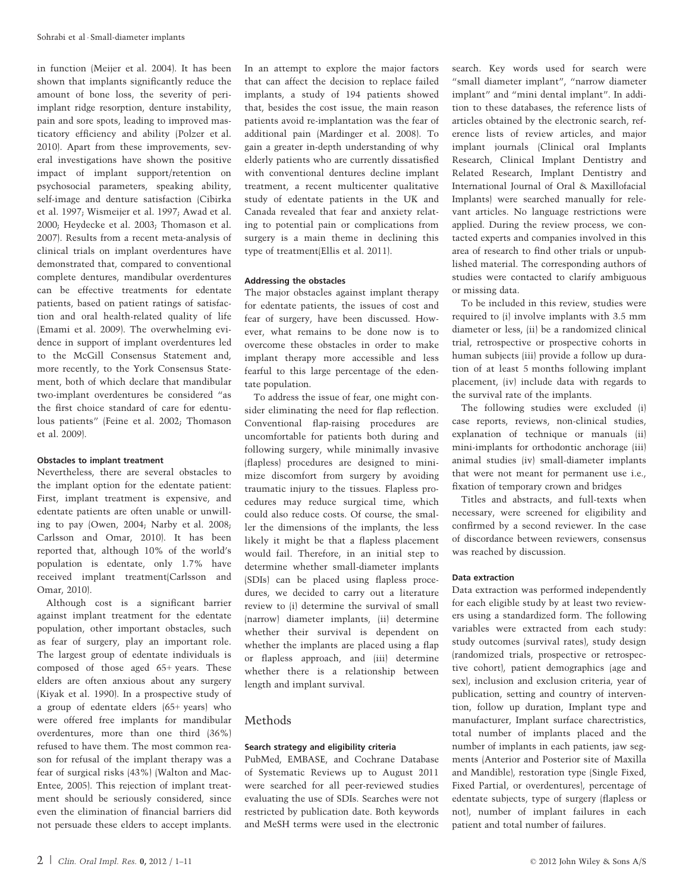in function (Meijer et al. 2004). It has been shown that implants significantly reduce the amount of bone loss, the severity of periimplant ridge resorption, denture instability, pain and sore spots, leading to improved masticatory efficiency and ability (Polzer et al. 2010). Apart from these improvements, several investigations have shown the positive impact of implant support/retention on psychosocial parameters, speaking ability, self-image and denture satisfaction (Cibirka et al. 1997; Wismeijer et al. 1997; Awad et al. 2000; Heydecke et al. 2003; Thomason et al. 2007). Results from a recent meta-analysis of clinical trials on implant overdentures have demonstrated that, compared to conventional complete dentures, mandibular overdentures can be effective treatments for edentate patients, based on patient ratings of satisfaction and oral health-related quality of life (Emami et al. 2009). The overwhelming evidence in support of implant overdentures led to the McGill Consensus Statement and, more recently, to the York Consensus Statement, both of which declare that mandibular two-implant overdentures be considered "as the first choice standard of care for edentulous patients" (Feine et al. 2002; Thomason et al. 2009).

#### Obstacles to implant treatment

Nevertheless, there are several obstacles to the implant option for the edentate patient: First, implant treatment is expensive, and edentate patients are often unable or unwilling to pay (Owen, 2004; Narby et al. 2008; Carlsson and Omar, 2010). It has been reported that, although 10% of the world's population is edentate, only 1.7% have received implant treatment(Carlsson and Omar, 2010).

Although cost is a significant barrier against implant treatment for the edentate population, other important obstacles, such as fear of surgery, play an important role. The largest group of edentate individuals is composed of those aged 65+ years. These elders are often anxious about any surgery (Kiyak et al. 1990). In a prospective study of a group of edentate elders (65+ years) who were offered free implants for mandibular overdentures, more than one third (36%) refused to have them. The most common reason for refusal of the implant therapy was a fear of surgical risks (43%) (Walton and Mac-Entee, 2005). This rejection of implant treatment should be seriously considered, since even the elimination of financial barriers did not persuade these elders to accept implants. In an attempt to explore the major factors that can affect the decision to replace failed implants, a study of 194 patients showed that, besides the cost issue, the main reason patients avoid re-implantation was the fear of additional pain (Mardinger et al. 2008). To gain a greater in-depth understanding of why elderly patients who are currently dissatisfied with conventional dentures decline implant treatment, a recent multicenter qualitative study of edentate patients in the UK and Canada revealed that fear and anxiety relating to potential pain or complications from surgery is a main theme in declining this type of treatment(Ellis et al. 2011).

## Addressing the obstacles

The major obstacles against implant therapy for edentate patients, the issues of cost and fear of surgery, have been discussed. However, what remains to be done now is to overcome these obstacles in order to make implant therapy more accessible and less fearful to this large percentage of the edentate population.

To address the issue of fear, one might consider eliminating the need for flap reflection. Conventional flap-raising procedures are uncomfortable for patients both during and following surgery, while minimally invasive (flapless) procedures are designed to minimize discomfort from surgery by avoiding traumatic injury to the tissues. Flapless procedures may reduce surgical time, which could also reduce costs. Of course, the smaller the dimensions of the implants, the less likely it might be that a flapless placement would fail. Therefore, in an initial step to determine whether small-diameter implants (SDIs) can be placed using flapless procedures, we decided to carry out a literature review to (i) determine the survival of small (narrow) diameter implants, (ii) determine whether their survival is dependent on whether the implants are placed using a flap or flapless approach, and (iii) determine whether there is a relationship between length and implant survival.

# Methods

#### Search strategy and eligibility criteria

PubMed, EMBASE, and Cochrane Database of Systematic Reviews up to August 2011 were searched for all peer-reviewed studies evaluating the use of SDIs. Searches were not restricted by publication date. Both keywords and MeSH terms were used in the electronic

search. Key words used for search were "small diameter implant", "narrow diameter implant" and "mini dental implant". In addition to these databases, the reference lists of articles obtained by the electronic search, reference lists of review articles, and major implant journals (Clinical oral Implants Research, Clinical Implant Dentistry and Related Research, Implant Dentistry and International Journal of Oral & Maxillofacial Implants) were searched manually for relevant articles. No language restrictions were applied. During the review process, we contacted experts and companies involved in this area of research to find other trials or unpublished material. The corresponding authors of studies were contacted to clarify ambiguous or missing data.

To be included in this review, studies were required to (i) involve implants with 3.5 mm diameter or less, (ii) be a randomized clinical trial, retrospective or prospective cohorts in human subjects (iii) provide a follow up duration of at least 5 months following implant placement, (iv) include data with regards to the survival rate of the implants.

The following studies were excluded (i) case reports, reviews, non-clinical studies, explanation of technique or manuals (ii) mini-implants for orthodontic anchorage (iii) animal studies (iv) small-diameter implants that were not meant for permanent use i.e., fixation of temporary crown and bridges

Titles and abstracts, and full-texts when necessary, were screened for eligibility and confirmed by a second reviewer. In the case of discordance between reviewers, consensus was reached by discussion.

## Data extraction

Data extraction was performed independently for each eligible study by at least two reviewers using a standardized form. The following variables were extracted from each study: study outcomes (survival rates), study design (randomized trials, prospective or retrospective cohort), patient demographics (age and sex), inclusion and exclusion criteria, year of publication, setting and country of intervention, follow up duration, Implant type and manufacturer, Implant surface charectristics, total number of implants placed and the number of implants in each patients, jaw segments (Anterior and Posterior site of Maxilla and Mandible), restoration type (Single Fixed, Fixed Partial, or overdentures), percentage of edentate subjects, type of surgery (flapless or not), number of implant failures in each patient and total number of failures.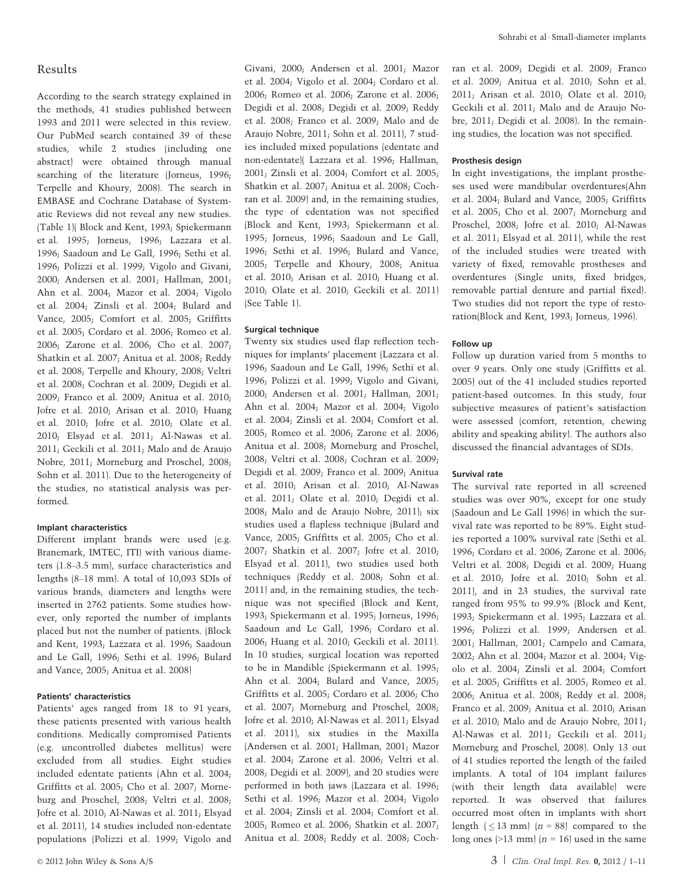# Results

According to the search strategy explained in the methods, 41 studies published between 1993 and 2011 were selected in this review. Our PubMed search contained 39 of these studies, while 2 studies (including one abstract) were obtained through manual searching of the literature (Jorneus, 1996; Terpelle and Khoury, 2008). The search in EMBASE and Cochrane Database of Systematic Reviews did not reveal any new studies. (Table 1)( Block and Kent, 1993; Spiekermann et al. 1995; Jorneus, 1996; Lazzara et al. 1996; Saadoun and Le Gall, 1996; Sethi et al. 1996; Polizzi et al. 1999; Vigolo and Givani, 2000; Andersen et al. 2001; Hallman, 2001; Ahn et al. 2004; Mazor et al. 2004; Vigolo et al. 2004; Zinsli et al. 2004; Bulard and Vance, 2005; Comfort et al. 2005; Griffitts et al. 2005; Cordaro et al. 2006; Romeo et al. 2006; Zarone et al. 2006; Cho et al. 2007; Shatkin et al. 2007; Anitua et al. 2008; Reddy et al. 2008; Terpelle and Khoury, 2008; Veltri et al. 2008; Cochran et al. 2009; Degidi et al. 2009; Franco et al. 2009; Anitua et al. 2010; Jofre et al. 2010; Arisan et al. 2010; Huang et al. 2010; Jofre et al. 2010; Olate et al. 2010; Elsyad et al. 2011; Al-Nawas et al. 2011; Geckili et al. 2011; Malo and de Araujo Nobre, 2011; Morneburg and Proschel, 2008; Sohn et al. 2011). Due to the heterogeneity of the studies, no statistical analysis was performed.

#### Implant characteristics

Different implant brands were used (e.g. Branemark, IMTEC, ITI) with various diameters (1.8–3.5 mm), surface characteristics and lengths (8–18 mm). A total of 10,093 SDIs of various brands, diameters and lengths were inserted in 2762 patients. Some studies however, only reported the number of implants placed but not the number of patients. (Block and Kent, 1993; Lazzara et al. 1996; Saadoun and Le Gall, 1996; Sethi et al. 1996; Bulard and Vance, 2005; Anitua et al. 2008)

#### Patients' characteristics

Patients' ages ranged from 18 to 91 years, these patients presented with various health conditions. Medically compromised Patients (e.g. uncontrolled diabetes mellitus) were excluded from all studies. Eight studies included edentate patients (Ahn et al. 2004; Griffitts et al. 2005; Cho et al. 2007; Morneburg and Proschel, 2008; Veltri et al. 2008; Jofre et al. 2010; Al-Nawas et al. 2011; Elsyad et al. 2011), 14 studies included non-edentate populations (Polizzi et al. 1999; Vigolo and

Givani, 2000; Andersen et al. 2001; Mazor et al. 2004; Vigolo et al. 2004; Cordaro et al. 2006; Romeo et al. 2006; Zarone et al. 2006; Degidi et al. 2008; Degidi et al. 2009; Reddy et al. 2008; Franco et al. 2009; Malo and de Araujo Nobre, 2011; Sohn et al. 2011), 7 studies included mixed populations (edentate and non-edentate)( Lazzara et al. 1996; Hallman, 2001; Zinsli et al. 2004; Comfort et al. 2005; Shatkin et al. 2007; Anitua et al. 2008; Cochran et al. 2009) and, in the remaining studies, the type of edentation was not specified (Block and Kent, 1993; Spiekermann et al. 1995; Jorneus, 1996; Saadoun and Le Gall, 1996; Sethi et al. 1996; Bulard and Vance, 2005; Terpelle and Khoury, 2008; Anitua et al. 2010; Arisan et al. 2010; Huang et al. 2010; Olate et al. 2010; Geckili et al. 2011) (See Table 1).

#### Surgical technique

Twenty six studies used flap reflection techniques for implants' placement (Lazzara et al. 1996; Saadoun and Le Gall, 1996; Sethi et al. 1996; Polizzi et al. 1999; Vigolo and Givani, 2000; Andersen et al. 2001; Hallman, 2001; Ahn et al. 2004; Mazor et al. 2004; Vigolo et al. 2004; Zinsli et al. 2004; Comfort et al. 2005; Romeo et al. 2006; Zarone et al. 2006; Anitua et al. 2008; Morneburg and Proschel, 2008; Veltri et al. 2008; Cochran et al. 2009; Degidi et al. 2009; Franco et al. 2009; Anitua et al. 2010; Arisan et al. 2010; Al-Nawas et al. 2011; Olate et al. 2010; Degidi et al. 2008; Malo and de Araujo Nobre, 2011); six studies used a flapless technique (Bulard and Vance, 2005; Griffitts et al. 2005; Cho et al. 2007; Shatkin et al. 2007; Jofre et al. 2010; Elsyad et al. 2011), two studies used both techniques (Reddy et al. 2008; Sohn et al. 2011) and, in the remaining studies, the technique was not specified (Block and Kent, 1993; Spiekermann et al. 1995; Jorneus, 1996; Saadoun and Le Gall, 1996; Cordaro et al. 2006; Huang et al. 2010; Geckili et al. 2011). In 10 studies, surgical location was reported to be in Mandible (Spiekermann et al. 1995; Ahn et al. 2004; Bulard and Vance, 2005; Griffitts et al. 2005; Cordaro et al. 2006; Cho et al. 2007; Morneburg and Proschel, 2008; Jofre et al. 2010; Al-Nawas et al. 2011; Elsyad et al. 2011), six studies in the Maxilla (Andersen et al. 2001; Hallman, 2001; Mazor et al. 2004; Zarone et al. 2006; Veltri et al. 2008; Degidi et al. 2009), and 20 studies were performed in both jaws (Lazzara et al. 1996; Sethi et al. 1996; Mazor et al. 2004; Vigolo et al. 2004; Zinsli et al. 2004; Comfort et al. 2005; Romeo et al. 2006; Shatkin et al. 2007; Anitua et al. 2008; Reddy et al. 2008; Cochran et al. 2009; Degidi et al. 2009; Franco et al. 2009; Anitua et al. 2010; Sohn et al. 2011; Arisan et al. 2010; Olate et al. 2010; Geckili et al. 2011; Malo and de Araujo Nobre, 2011; Degidi et al. 2008). In the remaining studies, the location was not specified.

#### Prosthesis design

In eight investigations, the implant prostheses used were mandibular overdentures(Ahn et al. 2004; Bulard and Vance, 2005; Griffitts et al. 2005; Cho et al. 2007; Morneburg and Proschel, 2008; Jofre et al. 2010; Al-Nawas et al. 2011; Elsyad et al. 2011), while the rest of the included studies were treated with variety of fixed, removable prostheses and overdentures (Single units, fixed bridges, removable partial denture and partial fixed). Two studies did not report the type of restoration(Block and Kent, 1993; Jorneus, 1996).

#### Follow up

Follow up duration varied from 5 months to over 9 years. Only one study (Griffitts et al. 2005) out of the 41 included studies reported patient-based outcomes. In this study, four subjective measures of patient's satisfaction were assessed (comfort, retention, chewing ability and speaking ability). The authors also discussed the financial advantages of SDIs.

#### Survival rate

The survival rate reported in all screened studies was over 90%, except for one study (Saadoun and Le Gall 1996) in which the survival rate was reported to be 89%. Eight studies reported a 100% survival rate (Sethi et al. 1996; Cordaro et al. 2006; Zarone et al. 2006; Veltri et al. 2008; Degidi et al. 2009; Huang et al. 2010; Jofre et al. 2010; Sohn et al. 2011), and in 23 studies, the survival rate ranged from 95% to 99.9% (Block and Kent, 1993; Spiekermann et al. 1995; Lazzara et al. 1996; Polizzi et al. 1999; Andersen et al. 2001; Hallman, 2001; Campelo and Camara, 2002; Ahn et al. 2004; Mazor et al. 2004; Vigolo et al. 2004; Zinsli et al. 2004; Comfort et al. 2005; Griffitts et al. 2005; Romeo et al. 2006; Anitua et al. 2008; Reddy et al. 2008; Franco et al. 2009; Anitua et al. 2010; Arisan et al. 2010; Malo and de Araujo Nobre, 2011; Al-Nawas et al. 2011; Geckili et al. 2011; Morneburg and Proschel, 2008). Only 13 out of 41 studies reported the length of the failed implants. A total of 104 implant failures (with their length data available) were reported. It was observed that failures occurred most often in implants with short length  $( \leq 13 \text{ mm})$   $(n = 88)$  compared to the long ones (>13 mm) ( $n = 16$ ) used in the same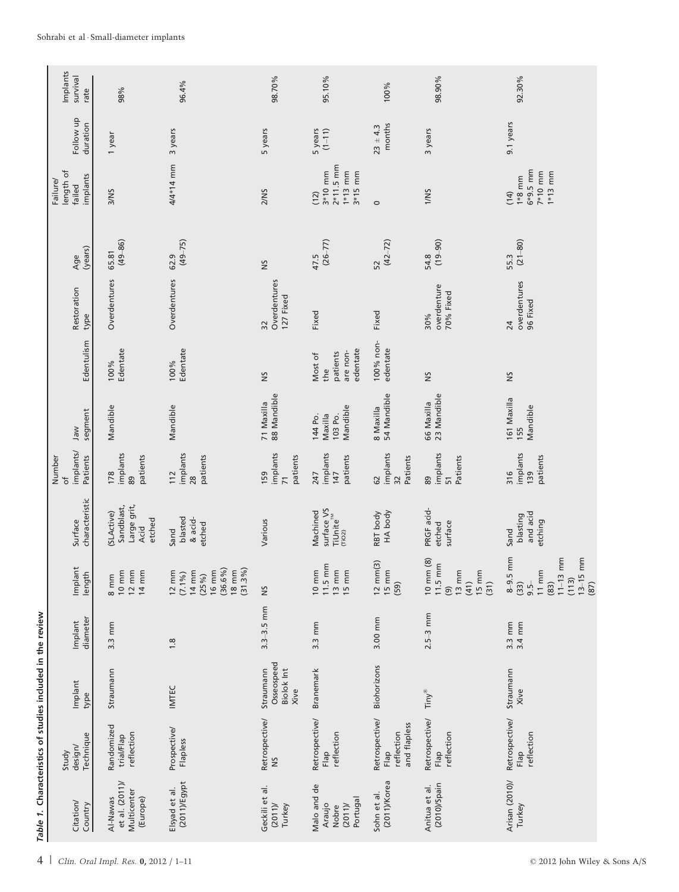|                                                            | Implants<br>survival<br>rate                           | 98%                                                                     | 96.4%                                                                                             | 98.70%                                        | 95.10%                                                                     | 100%                                                 | 98.90%                                                                                                               | 92.30%                                                                                                    |
|------------------------------------------------------------|--------------------------------------------------------|-------------------------------------------------------------------------|---------------------------------------------------------------------------------------------------|-----------------------------------------------|----------------------------------------------------------------------------|------------------------------------------------------|----------------------------------------------------------------------------------------------------------------------|-----------------------------------------------------------------------------------------------------------|
|                                                            | Follow up<br>duration                                  | 1 year                                                                  | 3 years                                                                                           | 5 years                                       | 5 years<br>$(1 - 11)$                                                      | months<br>$23 \pm 4.3$                               | 3 years                                                                                                              | 9.1 years                                                                                                 |
|                                                            | length of<br>implants<br>Failure/<br>failed            | 3/NS                                                                    | 4/4*14 mm                                                                                         | 2/NS                                          | $2*11.5$ mm<br>$1*13$ mm<br>$3*10$ mm<br>$3*15$ mm<br>(12)                 | $\circ$                                              | 1/NS                                                                                                                 | $6*9.5$ mm<br>$7*10$ mm<br>$1*13$ mm<br>$1*8$ mm<br>(14)                                                  |
|                                                            | (years)<br>Age                                         | $(49 - 86)$<br>65.81                                                    | $(49 - 75)$<br>62.9                                                                               | SN                                            | $(26 - 77)$<br>47.5                                                        | $(42 - 72)$<br>52                                    | $(19 - 90)$<br>54.8                                                                                                  | $(21 - 80)$<br>55.3                                                                                       |
|                                                            | Restoration<br>type                                    | Overdentures                                                            | Overdentures                                                                                      | Overdentures<br>127 Fixed<br>$\overline{32}$  | Fixed                                                                      | Fixed                                                | overdenture<br>70% Fixed<br>30%                                                                                      | overdentures<br>96 Fixed<br>24                                                                            |
|                                                            | Edentulism                                             | Edentate<br>100%                                                        | Edentate<br>100%                                                                                  | $\tilde{\mathbf{S}}$                          | edentate<br>are non-<br>patients<br>Most of<br>the                         | 100% non-<br>edentate                                | $\tilde{\mathbf{S}}$                                                                                                 | SN                                                                                                        |
|                                                            | segment<br>Jaw                                         | Mandible                                                                | Mandible                                                                                          | 71 Maxilla<br>88 Mandible                     | Mandible<br>144 Po.<br>Maxilla<br>103 Po.                                  | 54 Mandible<br>8 Maxilla                             | 23 Mandible<br>66 Maxilla                                                                                            | 161 Maxilla<br>Mandible<br>155                                                                            |
|                                                            | implants/<br>Patients<br>Number<br>$\overline{\sigma}$ | implants<br>patients<br>178<br>89                                       | implants<br>patients<br>112<br>28                                                                 | implants<br>patients<br>159<br>$\overline{7}$ | implants<br>patients<br>147<br>247                                         | implants<br>Patients<br>62<br>32                     | implants<br>Patients<br>89<br>51                                                                                     | implants<br>patients<br>139<br>316                                                                        |
|                                                            | characteristic<br>Surface                              | Large grit,<br>Sandblast,<br>(SLActive)<br>etched<br>Acid               | blasted<br>& acid-<br>etched<br>Sand                                                              | Various                                       | surface VS<br>TiUnite <sup>™</sup><br>(rio2)<br>Machined                   | HA body<br>RBT body                                  | PRGF acid-<br>surface<br>etched                                                                                      | and acid<br>blasting<br>etching<br>Sand                                                                   |
|                                                            | Implant<br>length                                      | $10 \text{ mm}$<br>$12 \text{ mm}$<br>$14 \text{ mm}$<br>$8 \text{ mm}$ | $(36.6\%)$<br>(31.3%)<br>$18 \text{ mm}$<br>$16 \text{ mm}$<br>12 mm<br>(7.1 %)<br>14 mm<br>(25%) | $\approx$                                     | $11.5 \text{ mm}$<br>$13 \text{ mm}$<br>$15 \text{ mm}$<br>$10 \text{ mm}$ | $12 \text{ mm}(3)$<br>$15 \, \text{mm}$<br>(59)      | $10 \text{ mm} (8)$<br>$11.5 \text{ mm}$<br>$13 \, \text{mm}$<br>$15 \, \text{mm}$<br>(41)<br>(31)<br>$\circledcirc$ | $8-9.5$ mm<br>$13-15$ mm<br>$11 - 13$ mm<br>$11 \text{ mm}$<br>(113)<br>$(33)$<br>(83)<br>$9.5 -$<br>(87) |
|                                                            | diameter<br>Implant                                    | 3.3 mm                                                                  | $\frac{8}{1}$                                                                                     | $3.3 - 3.5$ mm                                | $3.3 \, \text{mm}$                                                         | 3.00 mm                                              | $2.5 - 3$ mm                                                                                                         | 3.4 mm<br>$3.3 \text{ mm}$                                                                                |
|                                                            | Implant<br>type                                        | Straumann                                                               | IMTEC                                                                                             | Osseospeed<br>Straumann<br>Biolok Int<br>Xive | Branemark                                                                  | Biohorizons                                          | <b>Tiny®</b>                                                                                                         | Straumann<br>Xive                                                                                         |
|                                                            | Technique<br>design/<br>Study                          | Randomized<br>reflection<br>trial/Flap                                  | Prospective/<br>Flapless                                                                          | Retrospective/<br>$\frac{5}{2}$               | Retrospective/<br>reflection<br>Flap                                       | Retrospective/<br>and flapless<br>reflection<br>Flap | Retrospective/<br>reflection<br>Flap                                                                                 | Retrospective/<br>reflection<br>Flap                                                                      |
| Table 1. Characteristics of studies included in the review | Citation/<br>Country                                   | et al. (2011)/<br>Multicenter<br>Al-Nawas<br>(Europe)                   | (2011)/Egypt<br>Elsyad et al.                                                                     | Geckili et al.<br>(2011)<br>Turkey            | Malo and de<br>Portugal<br>Araujo<br>(2011)<br>Nobre                       | (2011)/Korea<br>Sohn et al.                          | $(2010)$ /Spain<br>Anitua et al.                                                                                     | Arisan (2010)/<br>Turkey                                                                                  |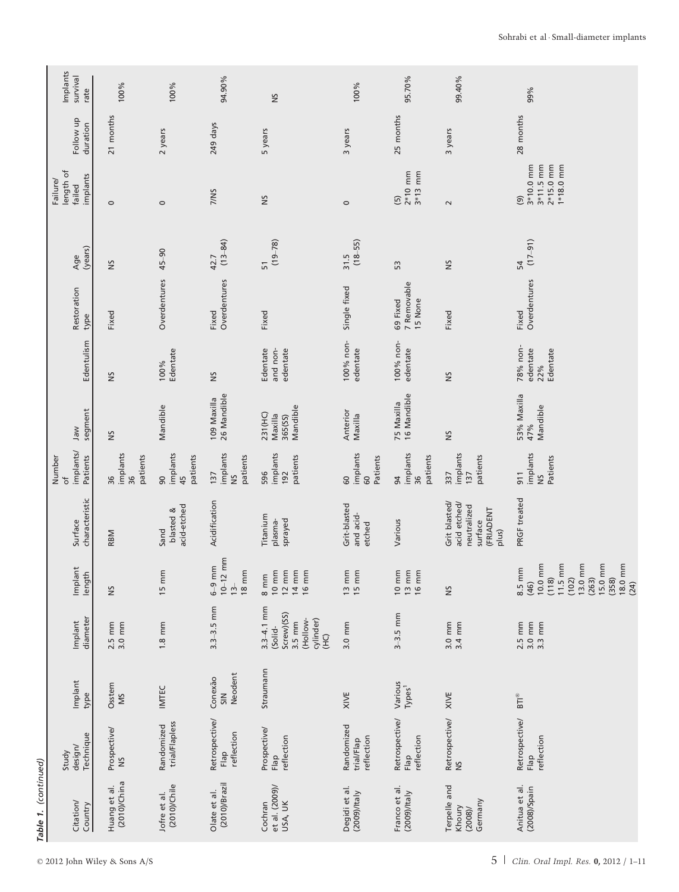|                      | Implants<br>survival<br>rate                  | 100%                             | 100%                             | 94.90%                                               | $\approx$                                                                                                             | 100%                                   | 95.70%                                                                         | 99.40%                                                                        | 99%                                                                                                                                             |
|----------------------|-----------------------------------------------|----------------------------------|----------------------------------|------------------------------------------------------|-----------------------------------------------------------------------------------------------------------------------|----------------------------------------|--------------------------------------------------------------------------------|-------------------------------------------------------------------------------|-------------------------------------------------------------------------------------------------------------------------------------------------|
|                      | Follow up<br>duration                         | 21 months                        | 2 years                          | 249 days                                             | 5 years                                                                                                               | 3 years                                | 25 months                                                                      | 3 years                                                                       | 28 months                                                                                                                                       |
|                      | length of<br>implants<br>Failure/<br>failed   | $\circ$                          | $\circ$                          | 7/NS                                                 | SN                                                                                                                    | $\circ$                                | $2*10$ mm<br>$3*13$ mm<br>$\overline{5}$                                       | $\sim$                                                                        | 3*10.0 mm<br>$2*15.0$ mm<br>$3*11.5$ mm<br>$1*18.0$ mm<br>$\circledcirc$                                                                        |
|                      | (years)<br>Age                                | SN                               | $45 - 90$                        | $(13 - 84)$<br>42.7                                  | $(19 - 78)$<br>51                                                                                                     | $(18 - 55)$<br>31.5                    | 53                                                                             | SN                                                                            | $(17-91)$<br>54                                                                                                                                 |
|                      | Restoration<br>type                           | Fixed                            | Overdentures                     | Overdentures<br>Fixed                                | Fixed                                                                                                                 | Single fixed                           | 7 Removable<br>15 None<br>69 Fixed                                             | Fixed                                                                         | Overdentures<br>Fixed                                                                                                                           |
|                      | Edentulism                                    | SN                               | Edentate<br>100%                 | SN                                                   | Edentate<br>and non-<br>edentate                                                                                      | 100% non-<br>edentate                  | 100% non-<br>edentate                                                          | S                                                                             | 78% non-<br>edentate<br>Edentate<br>22%                                                                                                         |
|                      | segment<br>Jaw                                | š                                | Mandible                         | 26 Mandible<br>109 Maxilla                           | Mandible<br>231 (HC)<br>Maxilla<br>365(SS)                                                                            | Anterior<br>Maxilla                    | 16 Mandible<br>75 Maxilla                                                      | S                                                                             | 53% Maxilla<br>Mandible<br>47%                                                                                                                  |
|                      | implants/<br>Patients<br>Number<br>$\rm ^{+}$ | implants<br>patients<br>36<br>36 | implants<br>45<br>patients<br>90 | implants<br>patients<br>137<br>SN                    | implants<br>patients<br>192<br>596                                                                                    | implants<br>Patients<br>60<br>60       | implants<br>patients<br>36<br>94                                               | implants<br>patients<br>337<br>137                                            | implants<br>Patients<br>911<br>$\frac{5}{2}$                                                                                                    |
|                      | characteristic<br>Surface                     | RBM                              | acid-etched<br>blasted &<br>Sand | Acidification                                        | Titanium<br>plasma-<br>sprayed                                                                                        | Grit-blasted<br>and acid-<br>etched    | Various                                                                        | Grit blasted/<br>acid etched/<br>neutralized<br>(FRIADENT<br>surface<br>plus) | PRGF treated                                                                                                                                    |
|                      | Implant<br>length                             | š                                | $15 \, \text{mm}$                | $10 - 12$ mm<br>$6-9$ mm<br>$18 \text{ mm}$<br>$13-$ | $10 \text{ mm}$<br>$12 \text{ mm}$<br>$\begin{array}{c} 14 \text{ mm} \\ 16 \text{ mm} \end{array}$<br>$8 \text{ mm}$ | $13 \text{ mm}$<br>$15 \text{ mm}$     | $\begin{array}{c} 10 \text{ mm} \\ 13 \text{ mm} \\ 16 \text{ mm} \end{array}$ | š                                                                             | 15.0 mm<br>$\sum_{i=1}^{n}$<br>$11.5 \text{ mm}$<br>13.0 mm<br>$(358)$<br>18.0 mm<br>8.5 mm<br>(102)<br>(263)<br>10.01<br>(118)<br>(24)<br>(46) |
|                      | diameter<br>Implant                           | $2.5$ mm<br>$3.0$ mm             | $1.8 \text{ mm}$                 | $3.3 - 3.5$ mm                                       | $3.3 - 4.1$ mm<br>Screw)(SS)<br>(Hollow-<br>cylinder)<br>$3.5 \, \text{mm}$<br>(Solid-<br>(HC)                        | 3.0 mm                                 | $3-3.5$ mm                                                                     | 3.0 mm<br>3.4 mm                                                              | 2.5 mm<br>3.0 mm<br>3.3 mm                                                                                                                      |
|                      | Implant<br>type                               | Osstem<br>SIN                    | IMTEC                            | Neodent<br>Conexão<br>SIN                            | Straumann                                                                                                             | XIVE                                   | Various<br>Types <sup>1</sup>                                                  | XIVE                                                                          | $\mathsf{BTI}^\circledR$                                                                                                                        |
|                      | Technique<br>design/<br>Study                 | Prospective/<br>Š                | trial/Flapless<br>Randomized     | Retrospective/<br>reflection<br>Flap                 | Prospective/<br>reflection<br>Flap                                                                                    | Randomized<br>reflection<br>trial/Flap | Retrospective/<br>reflection<br>Flap                                           | Retrospective/<br>$\frac{2}{5}$                                               | Retrospective/<br>reflection<br>Flap                                                                                                            |
| Table 1. (continued) | Citation/<br>Country                          | $(2010)$ /China<br>Huang et al.  | (2010)/Chile<br>Jofre et al.     | $(2010)$ /Brazil<br>Olate et al.                     | et al. (2009)/<br>USA, UK<br>Cochran                                                                                  | Degidi et al.<br>(2009)/Italy          | Franco et al.<br>$(2009)/$ Italy                                               | Terpelle and<br>Germany<br>Khoury<br>(2008)                                   | Anitua et al.<br>(2008)/Spain                                                                                                                   |
|                      |                                               |                                  |                                  |                                                      |                                                                                                                       |                                        |                                                                                |                                                                               |                                                                                                                                                 |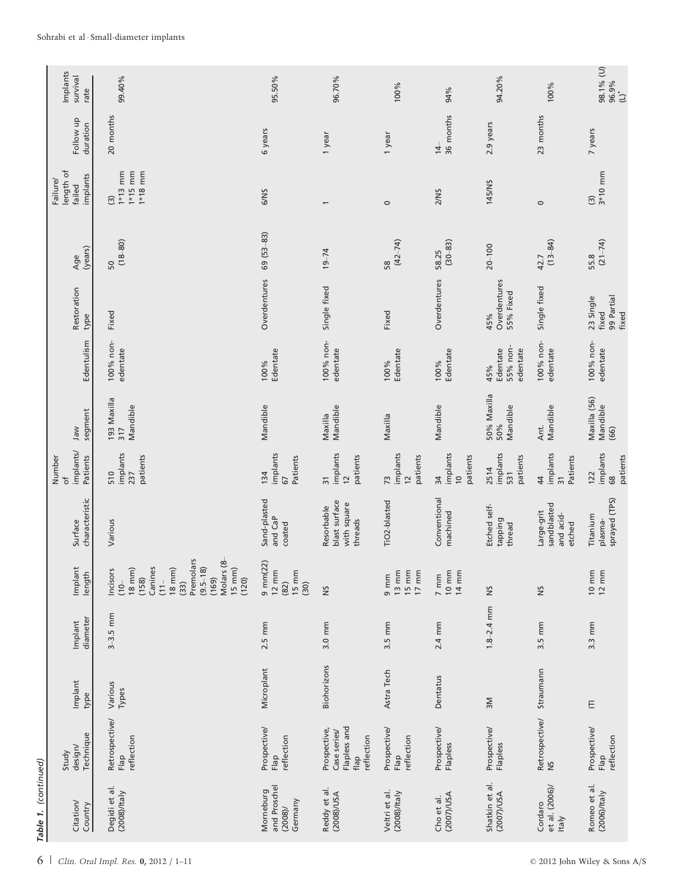|                      | Implants<br>survival<br>rate                           | 99.40%                                                                                                                                                                                 | 95.50%                                                                     | 96.70%                                                             | 100%                                                                                                 | 94%                                                     | 94.20%                                  | 100%                                             | 98.1% (U)<br>96.9%<br>(L)*                |
|----------------------|--------------------------------------------------------|----------------------------------------------------------------------------------------------------------------------------------------------------------------------------------------|----------------------------------------------------------------------------|--------------------------------------------------------------------|------------------------------------------------------------------------------------------------------|---------------------------------------------------------|-----------------------------------------|--------------------------------------------------|-------------------------------------------|
|                      | Follow up<br>duration                                  | 20 months                                                                                                                                                                              | 6 years                                                                    | 1 year                                                             | 1 year                                                                                               | 36 months<br>$\frac{4}{3}$                              | 2.9 years                               | 23 months                                        | 7 years                                   |
|                      | length of<br>implants<br>Failure/<br>failed            | $1*13$ mm<br>1 $*18$ mm<br>$1*15$ mm<br>$\widehat{S}$                                                                                                                                  | 6/NS                                                                       | $\overline{\phantom{0}}$                                           | $\circ$                                                                                              | 2/NS                                                    | 145/NS                                  | $\circ$                                          | $3*10$ mm<br>$\widehat{\Xi}$              |
|                      | (years)<br>Age                                         | $(18 - 80)$<br>50                                                                                                                                                                      | $69(53-83)$                                                                | $19 - 74$                                                          | $(42 - 74)$<br>58                                                                                    | $(30 - 83)$<br>58.25                                    | $20 - 100$                              | $(13 - 84)$<br>42.7                              | $(21 - 74)$<br>55.8                       |
|                      | Restoration<br>type                                    | Fixed                                                                                                                                                                                  | Overdentures                                                               | Single fixed                                                       | Fixed                                                                                                | Overdentures                                            | Overdentures<br>55% Fixed<br>45%        | Single fixed                                     | 99 Partial<br>23 Single<br>fixed<br>fixed |
|                      | Edentulism                                             | 100% non-<br>edentate                                                                                                                                                                  | Edentate<br>100%                                                           | 100% non-<br>edentate                                              | Edentate<br>100%                                                                                     | Edentate<br>100%                                        | 55% non-<br>Edentate<br>edentate<br>45% | 100% non-<br>edentate                            | 100% non-<br>edentate                     |
|                      | segment<br>Jaw                                         | 193 Maxilla<br>Mandible<br>317                                                                                                                                                         | Mandible                                                                   | Maxilla<br>Mandible                                                | Maxilla                                                                                              | Mandible                                                | 50% Maxilla<br>Mandible<br>50%          | Mandible<br>Ant.                                 | Maxilla (56)<br>Mandible<br>(66)          |
|                      | implants/<br>Patients<br>Number<br>$\overline{\sigma}$ | implants<br>patients<br>510<br>237                                                                                                                                                     | implants<br>Patients<br>134<br>67                                          | implants<br>patients<br>$\overline{31}$<br>$\overline{c}$          | implants<br>patients<br>$\overline{7}3$<br>$\frac{2}{3}$                                             | implants<br>patients<br>34<br>$\overline{C}$            | implants<br>patients<br>2514<br>531     | implants<br>Patients<br>44<br>$\overline{3}$     | implants<br>patients<br>122<br>68         |
|                      | characteristic<br>Surface                              | Various                                                                                                                                                                                | Sand-plasted<br>and CaP<br>coated                                          | blast surface<br>with square<br>Resorbable<br>threads              | TiO2-blasted                                                                                         | Conventional<br>machined                                | Etched self-<br>tapping<br>thread       | sandblasted<br>Large-grit<br>and acid-<br>etched | sprayed (TPS)<br>Titanium<br>plasma-      |
|                      | Implant<br>length                                      | Premolars<br>Molars (8-<br>$(9.5 - 18)$<br>$15 \, \text{mm}$<br>Canines<br>$18 \, \text{mm}$<br>$18 \, \text{mm}$<br>Incisors<br>(158)<br>(169)<br>(120)<br>$(10 -$<br>$(11 -$<br>(33) | $9 \text{ mm}(22)$<br>$12 \, \text{mm}$<br>$15 \text{ mm}$<br>(82)<br>(30) | š                                                                  | $13 \, \text{mm}$<br>$\begin{array}{c} 15 \text{ mm} \\ 17 \text{ mm} \end{array}$<br>$9 \text{ mm}$ | $\frac{10 \text{ mm}}{14 \text{ mm}}$<br>$7 \text{ mm}$ | š                                       | š                                                | $10 \text{ mm}$<br>$12 \text{ mm}$        |
|                      | diameter<br>Implant                                    | $3-3.5$ mm                                                                                                                                                                             | $2.5 \text{ mm}$                                                           | 3.0 mm                                                             | 3.5 mm                                                                                               | 2.4 mm                                                  | $1.8 - 2.4$ mm                          | 3.5 mm                                           | $3.3 \text{ mm}$                          |
|                      | Implant<br>type                                        | Various<br>Types                                                                                                                                                                       | Microplant                                                                 | Biohorizons                                                        | Astra Tech                                                                                           | Dentatus                                                | $\geq$                                  | Straumann                                        | E                                         |
|                      | Technique<br>design/<br>Study                          | Retrospective/<br>reflection<br>Flap                                                                                                                                                   | Prospective/<br>reflection<br>Flap                                         | Flapless and<br>Prospective,<br>Case series/<br>reflection<br>flap | Prospective/<br>reflection<br>Flap                                                                   | Prospective/<br>Flapless                                | Prospective/<br>Flapless                | Retrospective/<br>$\tilde{S}$                    | Prospective/<br>reflection<br>Flap        |
| Table 1. (continued) | Citation/<br>Country                                   | Degidi et al.<br>$(2008)/t$ aly                                                                                                                                                        | and Proschel<br>Morneburg<br>Germany<br>(2008)                             | Reddy et al.<br>(2008)/USA                                         | Veltri et al.<br>(2008)/Italy                                                                        | (2007)/USA<br>Cho et al.                                | Shatkin et al.<br>(2007)/USA            | et al. (2006)/<br>Cordaro<br>Italy               | Romeo et al.<br>(2006)/tan                |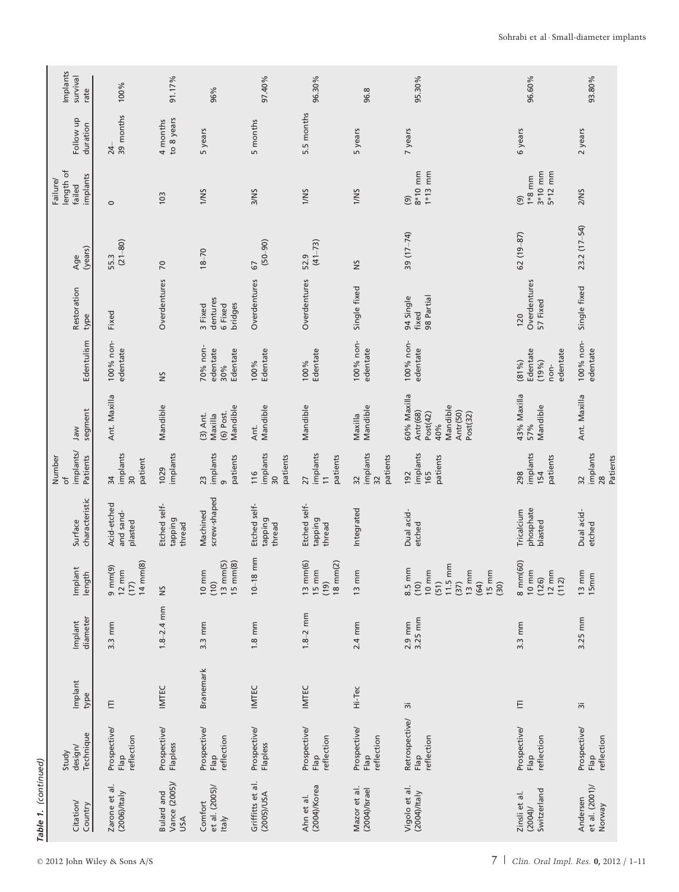| Implants<br>Isurvival<br>rate                          | 100%                                                               | 91.17%                                    | 96%                                                                 | 97.40%                                         | 96.30%                                                                | 96.8                                          | 95.30%                                                                                                                         | 96.60%                                                           | 93.80%                                 |
|--------------------------------------------------------|--------------------------------------------------------------------|-------------------------------------------|---------------------------------------------------------------------|------------------------------------------------|-----------------------------------------------------------------------|-----------------------------------------------|--------------------------------------------------------------------------------------------------------------------------------|------------------------------------------------------------------|----------------------------------------|
| Follow up<br>duration                                  | 39 months<br>$^{24}$                                               | to 8 years<br>4 months                    | 5 years                                                             | 5 months                                       | 5.5 months                                                            | 5 years                                       | 7 years                                                                                                                        | 6 years                                                          | 2 years                                |
| length of<br>implants<br>Failure/<br>failed            | $\circ$                                                            | 103                                       | 1/NS                                                                | 3/NS                                           | 1/NS                                                                  | 1/NS                                          | $8*10$ mm<br>$1*13$ mm<br>$\widehat{\Theta}$                                                                                   | $3*10$ mm<br>$5*12$ mm<br>$1*8$ mm<br>$\circ$                    | 2/NS                                   |
| (years)<br>Age                                         | $(21 - 80)$<br>55.3                                                | 70                                        | $18 - 70$                                                           | $(50 - 90)$<br>67                              | $(41 - 73)$<br>52.9                                                   | ŠN                                            | 39 $(17-74)$                                                                                                                   | $62(19-87)$                                                      | $23.2(17 - 54)$                        |
| Restoration<br>type                                    | Fixed                                                              | Overdentures                              | dentures<br>bridges<br>6 Fixed<br>3 Fixed                           | Overdentures                                   | Overdentures                                                          | Single fixed                                  | 98 Partial<br>94 Single<br>fixed                                                                                               | Overdentures<br>57 Fixed<br>120                                  | Single fixed                           |
| Edentulism                                             | 100% non-<br>edentate                                              | š                                         | 70% non-<br>edentate<br>Edentate<br>30%                             | Edentate<br>100%                               | Edentate<br>100%                                                      | 100% non-<br>edentate                         | 100% non-<br>edentate                                                                                                          | Edentate<br>edentate<br>(19%)<br>(81%)<br>non-                   | 100% non-<br>edentate                  |
| segment<br>Jaw                                         | Ant. Maxilla                                                       | Mandible                                  | Mandible<br>(6) Post.<br>$(3)$ Ant.<br>Maxilla                      | Mandible<br>Ant.                               | Mandible                                                              | Mandible<br>Maxilla                           | 60% Maxilla<br>Mandible<br>Antr(50)<br>Antr(68)<br>Post(42)<br>Post(32)<br>40%                                                 | 43% Maxilla<br>Mandible<br>57%                                   | Ant. Maxilla                           |
| implants/<br>Patients<br>Number<br>$\overline{\sigma}$ | implants<br>patient<br>$\overline{30}$<br>34                       | implants<br>1029                          | implants<br>patients<br>23<br>თ,                                    | implants<br>patients<br>116<br>$\overline{30}$ | implants<br>patients<br>27<br>$\overline{\phantom{0}}$                | implants<br>patients<br>$\overline{32}$<br>32 | implants<br>patients<br>165<br>192                                                                                             | implants<br>patients<br>298<br>154                               | implants<br>Patients<br>28<br>32       |
| characteristic<br>Surface                              | Acid-etched<br>and sand-<br>plasted                                | Etched self-<br>tapping<br>thread         | screw-shaped<br>Machined                                            | Etched self-<br>tapping<br>thread              | Etched self-<br>tapping<br>thread                                     | Integrated                                    | Dual acid-<br>etched                                                                                                           | phosphate<br>Tricalcium<br>blasted                               | Dual acid-<br>etched                   |
| Implant<br>length                                      | $14 \text{ mm}(8)$<br>$9 \text{ mm}(9)$<br>$12 \text{ mm}$<br>(17) | $\tilde{z}$                               | $13 \text{ mm}(5)$<br>$15 \text{ mm}(8)$<br>$10 \text{ mm}$<br>(10) | mm<br>$10 - 18$                                | $13 \text{ mm}(6)$<br>$18 \text{ mm}(2)$<br>$15 \, \text{mm}$<br>(19) | $13 \, \text{mm}$                             | $11.5 \text{ mm}$<br>8.5 mm<br>$13 \, \text{mm}$<br>$15 \text{ mm}$<br>$10 \text{ mm}$<br>(64)<br>(37)<br>(51)<br>(10)<br>(30) | 8 mm(60)<br>$10 \text{ mm}$<br>$12 \text{ mm}$<br>(126)<br>(112) | $13 \text{ mm}$<br>$15 \text{ mm}$     |
| diameter<br>Implant                                    | $3.3 \text{ mm}$                                                   | $1.8 - 2.4$ mm                            | $3.3 \text{ mm}$                                                    | $1.8 \text{ mm}$                               | $1.8 - 2$ mm                                                          | 2.4 mm                                        | 3.25 mm<br>$2.9$ mm                                                                                                            | $3.3 \text{ mm}$                                                 | 3.25 mm                                |
| Implant<br>type                                        | E                                                                  | <b>INTEC</b>                              | <b>Branemark</b>                                                    | <b>IMTEC</b>                                   | <b>IMTEC</b>                                                          | Hi-Tec                                        | $\overline{3}$                                                                                                                 | E                                                                | $\overleftarrow{\scriptstyle{\infty}}$ |
| Technique<br>design/<br>Study                          | Prospective/<br>reflection<br>Flap                                 | Prospective/<br>Flapless                  | Prospective/<br>reflection<br>Flap                                  | Prospective/<br>Flapless                       | Prospective/<br>reflection<br>Flap                                    | Prospective/<br>reflection<br>Flap            | Retrospective/<br>reflection<br>Flap                                                                                           | Prospective/<br>reflection<br>Flap                               | Prospective/<br>reflection<br>Flap     |
| Citation/<br>Country                                   | Zarone et al.<br>(2006)/tan                                        | Vance (2005)/<br><b>Bulard</b> and<br>USA | et al. (2005)/<br>Comfort<br>Italy                                  | Griffitts et al.<br>(2005)/USA                 | $(2004)$ /Korea<br>Ahn et al.                                         | Mazor et al.<br>$(2004)/\text{l}$ srael       | Vigolo et al.<br>$(2004)/\tau$ taly                                                                                            | Switzerland<br>Zinsli et al.<br>(2004)                           | et al. (2001)/<br>Andersen<br>Norway   |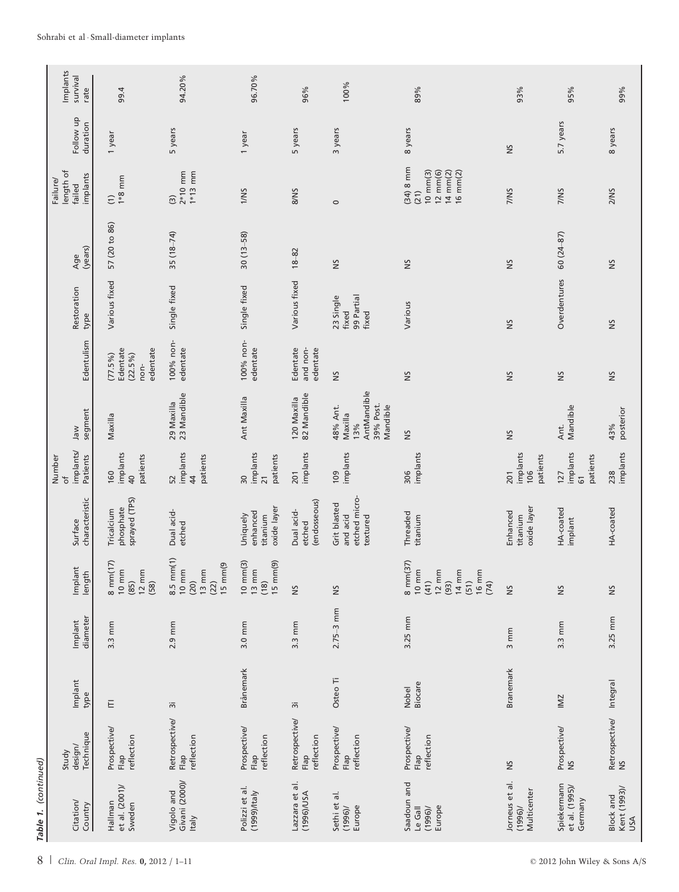|                      | Implants<br>survival<br>rate                | 99.4                                                           | 94.20%                                                                                          | 96.70%                                                      | 96%                                  | 100%                                                               | 89%                                                                                                                    | 93%                                     | 95%                                           | 99%                                     |
|----------------------|---------------------------------------------|----------------------------------------------------------------|-------------------------------------------------------------------------------------------------|-------------------------------------------------------------|--------------------------------------|--------------------------------------------------------------------|------------------------------------------------------------------------------------------------------------------------|-----------------------------------------|-----------------------------------------------|-----------------------------------------|
|                      | Follow up<br>duration                       | 1 year                                                         | 5 years                                                                                         | 1 year                                                      | 5 years                              | 3 years                                                            | 8 years                                                                                                                | S                                       | 5.7 years                                     | 8 years                                 |
|                      | length of<br>implants<br>Failure/<br>failed | $1*8$ mm<br>$\widehat{c}$                                      | $2*10$ mm<br>$1*13$ mm<br>$\widehat{\mathcal{C}}$                                               | 1/NS                                                        | 8/NS                                 | $\circ$                                                            | $(34)$ 8 mm<br>$10 \text{ mm}(3)$<br>12 mm(6)<br>$14 \text{ mm}(2)$<br>$16 \text{ mm}(2)$<br>(21)                      | 7/NS                                    | 7/NS                                          | 2/NS                                    |
|                      | (years)<br>Age                              | 57 (20 to 86)                                                  | $35(18-74)$                                                                                     | $30(13 - 58)$                                               | $18 - 82$                            | š                                                                  | SN                                                                                                                     | SN                                      | $60(24-87)$                                   | ŠN                                      |
|                      | Restoration<br>type                         | Various fixed                                                  | Single fixed                                                                                    | Single fixed                                                | Various fixed                        | 99 Partial<br>23 Single<br>fixed<br>fixed                          | Various                                                                                                                | S                                       | Overdentures                                  | ŠN                                      |
|                      | Edentulism                                  | edentate<br>Edentate<br>$(22.5\%)$<br>$(77.5\%)$<br>non-       | 100% non-<br>edentate                                                                           | 100% non-<br>edentate                                       | Edentate<br>and non-<br>edentate     | S                                                                  | SN                                                                                                                     | S                                       | S                                             | SN                                      |
|                      | segment<br>Jaw                              | Maxilla                                                        | 23 Mandible<br>29 Maxilla                                                                       | Ant Maxilla                                                 | 82 Mandible<br>120 Maxilla           | AntMandible<br>39% Post.<br>Mandible<br>48% Ant.<br>Maxilla<br>13% | Š                                                                                                                      | S                                       | Mandible<br>Ant.                              | posterior<br>43%                        |
|                      | implants/<br>Patients<br>Number<br>đ        | implants<br>patients<br>160<br>$\overline{a}$                  | implants<br>patients<br>52<br>$\overline{\overline{4}}$                                         | implants<br>patients<br>30<br>$\overline{21}$               | implants<br>201                      | implants<br>109                                                    | implants<br>306                                                                                                        | implants<br>patients<br>106<br>201      | implants<br>patients<br>127<br>$\overline{6}$ | implants<br>238                         |
|                      | characteristic<br>Surface                   | sprayed (TPS)<br>phosphate<br>Tricalcium                       | Dual acid-<br>etched                                                                            | oxide layer<br>enhanced<br>Uniquely<br>titanium             | (endosseous)<br>Dual acid-<br>etched | etched micro-<br>Grit blasted<br>and acid<br>textured              | Threaded<br>titanium                                                                                                   | oxide layer<br>Enhanced<br>titanium     | HA-coated<br>implant                          | HA-coated                               |
|                      | Implant<br>length                           | 8 mm(17)<br>$10 \text{ mm}$<br>$12 \text{ mm}$<br>(85)<br>(58) | $8.5 \, mm(1)$<br>$15 \text{ mm}$ $(9)$<br>$10 \text{ mm}$<br>$13 \, \text{mm}$<br>(22)<br>(20) | $10 \text{ mm}(3)$<br>15 mm(9)<br>$13 \, \text{mm}$<br>(18) | $\approx$                            | š                                                                  | 8 mm(37)<br>$10 \text{ mm}$<br>$12 \text{ mm}$<br>$14 \text{ mm}$<br>$16 \, \text{mm}$<br>(93)<br>(41)<br>(51)<br>(74) | S                                       | S                                             | š                                       |
|                      | diameter<br>Implant                         | $3.3 \text{ mm}$                                               | $2.9$ mm                                                                                        | 3.0 mm                                                      | $3.3 \text{ mm}$                     | $2.75 - 3$ mm                                                      | 3.25 mm                                                                                                                | mm<br>$\sim$                            | 3.3 mm                                        | 3.25 mm                                 |
|                      | Implant<br>type                             | E                                                              | $\overline{3}$                                                                                  | Brånemark                                                   | $\overline{5}$                       | Osteo Ti                                                           | Biocare<br><b>Nobel</b>                                                                                                | <b>Branemark</b>                        | IMZ                                           |                                         |
|                      | Technique<br>design/<br>Study               | Prospective/<br>reflection<br>Flap                             | Retrospective/<br>reflection<br>Flap                                                            | Prospective/<br>reflection<br>Flap                          | Retrospective/<br>reflection<br>Flap | Prospective/<br>reflection<br>Flap                                 | Prospective<br>reflection<br>Flap                                                                                      | SN                                      | Prospective/<br>$\approx$                     | Retrospective/ Integral<br><b>SA</b>    |
| Table 1. (continued) | Citation/<br>Country                        | et al. $(2001)$ /<br>Hallman<br>Sweden                         | Givani (2000)/<br>Vigolo and<br><b>Italy</b>                                                    | Polizzi et al.<br>(1999)/Italy                              | Lazzara et al.<br>A2U\(996)          | $\frac{1}{6}$<br>Sethi et<br>Europe<br>(1996)                      | Saadoun and<br>Europe<br>Le Gall<br>(1996)                                                                             | Jorneus et al.<br>Multicenter<br>(1996) | Spiekermann<br>et al. (1995)/<br>Germany      | Kent (1993)/<br><b>Block</b> and<br>USA |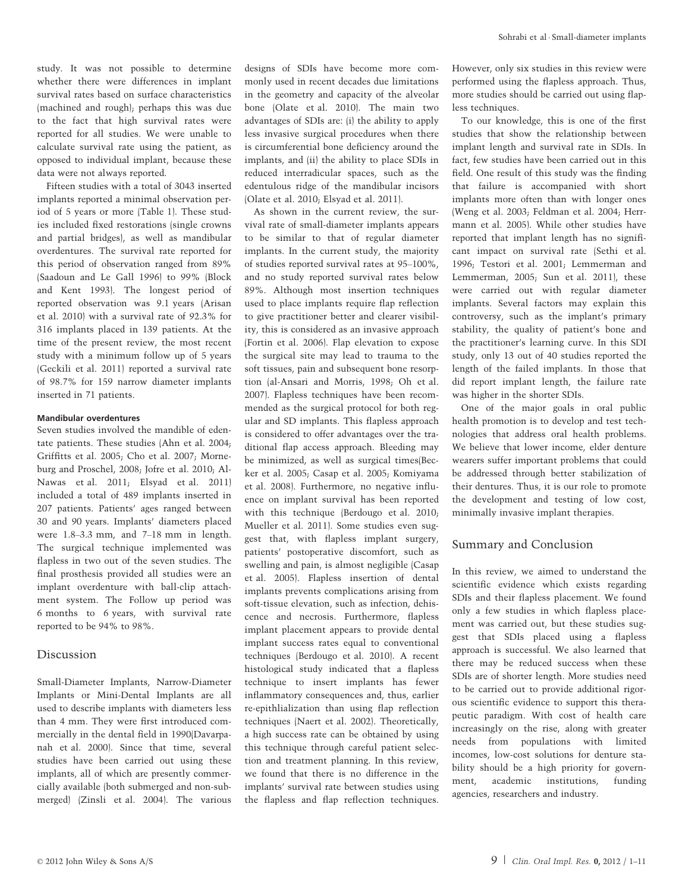study. It was not possible to determine whether there were differences in implant survival rates based on surface characteristics (machined and rough); perhaps this was due to the fact that high survival rates were reported for all studies. We were unable to calculate survival rate using the patient, as opposed to individual implant, because these data were not always reported.

Fifteen studies with a total of 3043 inserted implants reported a minimal observation period of 5 years or more (Table 1). These studies included fixed restorations (single crowns and partial bridges), as well as mandibular overdentures. The survival rate reported for this period of observation ranged from 89% (Saadoun and Le Gall 1996) to 99% (Block and Kent 1993). The longest period of reported observation was 9.1 years (Arisan et al. 2010) with a survival rate of 92.3% for 316 implants placed in 139 patients. At the time of the present review, the most recent study with a minimum follow up of 5 years (Geckili et al. 2011) reported a survival rate of 98.7% for 159 narrow diameter implants inserted in 71 patients.

#### Mandibular overdentures

Seven studies involved the mandible of edentate patients. These studies (Ahn et al. 2004; Griffitts et al. 2005; Cho et al. 2007; Morneburg and Proschel, 2008; Jofre et al. 2010; Al-Nawas et al. 2011; Elsyad et al. 2011) included a total of 489 implants inserted in 207 patients. Patients' ages ranged between 30 and 90 years. Implants' diameters placed were 1.8–3.3 mm, and 7–18 mm in length. The surgical technique implemented was flapless in two out of the seven studies. The final prosthesis provided all studies were an implant overdenture with ball-clip attachment system. The Follow up period was 6 months to 6 years, with survival rate reported to be 94% to 98%.

## Discussion

Small-Diameter Implants, Narrow-Diameter Implants or Mini-Dental Implants are all used to describe implants with diameters less than 4 mm. They were first introduced commercially in the dental field in 1990(Davarpanah et al. 2000). Since that time, several studies have been carried out using these implants, all of which are presently commercially available (both submerged and non-submerged) (Zinsli et al. 2004). The various

designs of SDIs have become more commonly used in recent decades due limitations in the geometry and capacity of the alveolar bone (Olate et al. 2010). The main two advantages of SDIs are: (i) the ability to apply less invasive surgical procedures when there is circumferential bone deficiency around the implants, and (ii) the ability to place SDIs in reduced interradicular spaces, such as the edentulous ridge of the mandibular incisors (Olate et al. 2010; Elsyad et al. 2011).

As shown in the current review, the survival rate of small-diameter implants appears to be similar to that of regular diameter implants. In the current study, the majority of studies reported survival rates at 95–100%, and no study reported survival rates below 89%. Although most insertion techniques used to place implants require flap reflection to give practitioner better and clearer visibility, this is considered as an invasive approach (Fortin et al. 2006). Flap elevation to expose the surgical site may lead to trauma to the soft tissues, pain and subsequent bone resorption (al-Ansari and Morris, 1998; Oh et al. 2007). Flapless techniques have been recommended as the surgical protocol for both regular and SD implants. This flapless approach is considered to offer advantages over the traditional flap access approach. Bleeding may be minimized, as well as surgical times(Becker et al. 2005; Casap et al. 2005; Komiyama et al. 2008). Furthermore, no negative influence on implant survival has been reported with this technique (Berdougo et al. 2010; Mueller et al. 2011). Some studies even suggest that, with flapless implant surgery, patients' postoperative discomfort, such as swelling and pain, is almost negligible (Casap et al. 2005). Flapless insertion of dental implants prevents complications arising from soft-tissue elevation, such as infection, dehiscence and necrosis. Furthermore, flapless implant placement appears to provide dental implant success rates equal to conventional techniques (Berdougo et al. 2010). A recent histological study indicated that a flapless technique to insert implants has fewer inflammatory consequences and, thus, earlier re-epithlialization than using flap reflection techniques (Naert et al. 2002). Theoretically, a high success rate can be obtained by using this technique through careful patient selection and treatment planning. In this review, we found that there is no difference in the implants' survival rate between studies using the flapless and flap reflection techniques.

However, only six studies in this review were performed using the flapless approach. Thus, more studies should be carried out using flapless techniques.

To our knowledge, this is one of the first studies that show the relationship between implant length and survival rate in SDIs. In fact, few studies have been carried out in this field. One result of this study was the finding that failure is accompanied with short implants more often than with longer ones (Weng et al. 2003; Feldman et al. 2004; Herrmann et al. 2005). While other studies have reported that implant length has no significant impact on survival rate (Sethi et al. 1996; Testori et al. 2001; Lemmerman and Lemmerman, 2005; Sun et al. 2011), these were carried out with regular diameter implants. Several factors may explain this controversy, such as the implant's primary stability, the quality of patient's bone and the practitioner's learning curve. In this SDI study, only 13 out of 40 studies reported the length of the failed implants. In those that did report implant length, the failure rate was higher in the shorter SDIs.

One of the major goals in oral public health promotion is to develop and test technologies that address oral health problems. We believe that lower income, elder denture wearers suffer important problems that could be addressed through better stabilization of their dentures. Thus, it is our role to promote the development and testing of low cost, minimally invasive implant therapies.

# Summary and Conclusion

In this review, we aimed to understand the scientific evidence which exists regarding SDIs and their flapless placement. We found only a few studies in which flapless placement was carried out, but these studies suggest that SDIs placed using a flapless approach is successful. We also learned that there may be reduced success when these SDIs are of shorter length. More studies need to be carried out to provide additional rigorous scientific evidence to support this therapeutic paradigm. With cost of health care increasingly on the rise, along with greater needs from populations with limited incomes, low-cost solutions for denture stability should be a high priority for government, academic institutions, funding agencies, researchers and industry.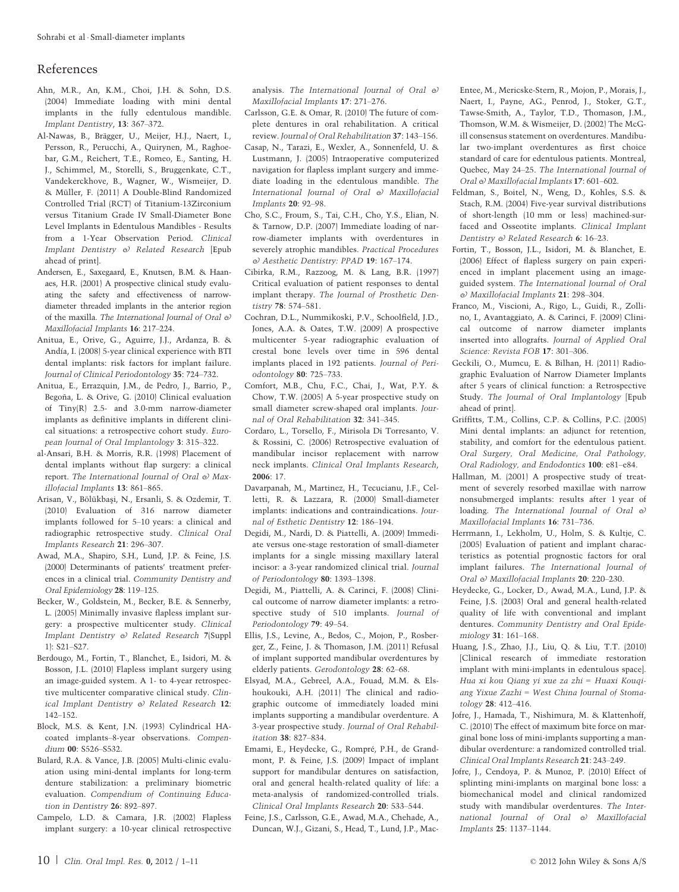## References

- Ahn, M.R., An, K.M., Choi, J.H. & Sohn, D.S. (2004) Immediate loading with mini dental implants in the fully edentulous mandible. Implant Dentistry, 13: 367–372.
- Al-Nawas, B., Brägger, U., Meijer, H.J., Naert, I., Persson, R., Perucchi, A., Quirynen, M., Raghoebar, G.M., Reichert, T.E., Romeo, E., Santing, H. J., Schimmel, M., Storelli, S., Bruggenkate, C.T., Vandekerckhove, B., Wagner, W., Wismeijer, D. & Mu¨ller, F. (2011) A Double-Blind Randomized Controlled Trial (RCT) of Titanium-13Zirconium versus Titanium Grade IV Small-Diameter Bone Level Implants in Edentulous Mandibles - Results from a 1-Year Observation Period. Clinical Implant Dentistry & Related Research [Epub ahead of print].
- Andersen, E., Saxegaard, E., Knutsen, B.M. & Haanaes, H.R. (2001) A prospective clinical study evaluating the safety and effectiveness of narrowdiameter threaded implants in the anterior region of the maxilla. The International Journal of Oral & Maxillofacial Implants 16: 217–224.
- Anitua, E., Orive, G., Aguirre, J.J., Ardanza, B. & Andía, I. (2008) 5-year clinical experience with BTI dental implants: risk factors for implant failure. Journal of Clinical Periodontology 35: 724–732.
- Anitua, E., Errazquin, J.M., de Pedro, J., Barrio, P., Begoña, L. & Orive, G. (2010) Clinical evaluation of Tiny(R) 2.5- and 3.0-mm narrow-diameter implants as definitive implants in different clinical situations: a retrospective cohort study. European Journal of Oral Implantology 3: 315–322.
- al-Ansari, B.H. & Morris, R.R. (1998) Placement of dental implants without flap surgery: a clinical report. The International Journal of Oral  $\Theta$  Maxillofacial Implants 13: 861–865.
- Arisan, V., Bölükbaşi, N., Ersanli, S. & Ozdemir, T. (2010) Evaluation of 316 narrow diameter implants followed for 5–10 years: a clinical and radiographic retrospective study. Clinical Oral Implants Research 21: 296–307.
- Awad, M.A., Shapiro, S.H., Lund, J.P. & Feine, J.S. (2000) Determinants of patients' treatment preferences in a clinical trial. Community Dentistry and Oral Epidemiology 28: 119–125.
- Becker, W., Goldstein, M., Becker, B.E. & Sennerby, L. (2005) Minimally invasive flapless implant surgery: a prospective multicenter study. Clinical Implant Dentistry & Related Research 7(Suppl 1): S21–S27.
- Berdougo, M., Fortin, T., Blanchet, E., Isidori, M. & Bosson, J.L. (2010) Flapless implant surgery using an image-guided system. A 1- to 4-year retrospective multicenter comparative clinical study. Clinical Implant Dentistry & Related Research 12: 142–152.
- Block, M.S. & Kent, J.N. (1993) Cylindrical HAcoated implants–8-year observations. Compendium 00: S526–S532.
- Bulard, R.A. & Vance, J.B. (2005) Multi-clinic evaluation using mini-dental implants for long-term denture stabilization: a preliminary biometric evaluation. Compendium of Continuing Education in Dentistry 26: 892–897.
- Campelo, L.D. & Camara, J.R. (2002) Flapless implant surgery: a 10-year clinical retrospective

analysis. The International Journal of Oral  $\omega$ Maxillofacial Implants 17: 271–276.

- Carlsson, G.E. & Omar, R. (2010) The future of complete dentures in oral rehabilitation. A critical review. Journal of Oral Rehabilitation 37: 143–156.
- Casap, N., Tarazi, E., Wexler, A., Sonnenfeld, U. & Lustmann, J. (2005) Intraoperative computerized navigation for flapless implant surgery and immediate loading in the edentulous mandible. The International Journal of Oral & Maxillofacial Implants 20: 92–98.
- Cho, S.C., Froum, S., Tai, C.H., Cho, Y.S., Elian, N. & Tarnow, D.P. (2007) Immediate loading of narrow-diameter implants with overdentures in severely atrophic mandibles. Practical Procedures & Aesthetic Dentistry: PPAD 19: 167–174.
- Cibirka, R.M., Razzoog, M. & Lang, B.R. (1997) Critical evaluation of patient responses to dental implant therapy. The Journal of Prosthetic Dentistry 78: 574–581.
- Cochran, D.L., Nummikoski, P.V., Schoolfield, J.D., Jones, A.A. & Oates, T.W. (2009) A prospective multicenter 5-year radiographic evaluation of crestal bone levels over time in 596 dental implants placed in 192 patients. Journal of Periodontology 80: 725–733.
- Comfort, M.B., Chu, F.C., Chai, J., Wat, P.Y. & Chow, T.W. (2005) A 5-year prospective study on small diameter screw-shaped oral implants. Journal of Oral Rehabilitation 32: 341–345.
- Cordaro, L., Torsello, F., Mirisola Di Torresanto, V. & Rossini, C. (2006) Retrospective evaluation of mandibular incisor replacement with narrow neck implants. Clinical Oral Implants Research, 2006: 17.
- Davarpanah, M., Martinez, H., Tecucianu, J.F., Celletti, R. & Lazzara, R. (2000) Small-diameter implants: indications and contraindications. Journal of Esthetic Dentistry 12: 186–194.
- Degidi, M., Nardi, D. & Piattelli, A. (2009) Immediate versus one-stage restoration of small-diameter implants for a single missing maxillary lateral incisor: a 3-year randomized clinical trial. Journal of Periodontology 80: 1393–1398.
- Degidi, M., Piattelli, A. & Carinci, F. (2008) Clinical outcome of narrow diameter implants: a retrospective study of 510 implants. Journal of Periodontology 79: 49–54.
- Ellis, J.S., Levine, A., Bedos, C., Mojon, P., Rosberger, Z., Feine, J. & Thomason, J.M. (2011) Refusal of implant supported mandibular overdentures by elderly patients. Gerodontology 28: 62–68.
- Elsyad, M.A., Gebreel, A.A., Fouad, M.M. & Elshoukouki, A.H. (2011) The clinical and radiographic outcome of immediately loaded mini implants supporting a mandibular overdenture. A 3-year prospective study. Journal of Oral Rehabilitation 38: 827–834.
- Emami, E., Heydecke, G., Rompré, P.H., de Grandmont, P. & Feine, J.S. (2009) Impact of implant support for mandibular dentures on satisfaction, oral and general health-related quality of life: a meta-analysis of randomized-controlled trials. Clinical Oral Implants Research 20: 533–544.
- Feine, J.S., Carlsson, G.E., Awad, M.A., Chehade, A., Duncan, W.J., Gizani, S., Head, T., Lund, J.P., Mac-

Entee, M., Mericske-Stern, R., Mojon, P., Morais, J., Naert, I., Payne, AG., Penrod, J., Stoker, G.T., Tawse-Smith, A., Taylor, T.D., Thomason, J.M., Thomson, W.M. & Wismeijer, D. (2002) The McGill consensus statement on overdentures. Mandibular two-implant overdentures as first choice standard of care for edentulous patients. Montreal, Quebec, May 24–25. The International Journal of Oral & Maxillofacial Implants 17: 601-602.

- Feldman, S., Boitel, N., Weng, D., Kohles, S.S. & Stach, R.M. (2004) Five-year survival distributions of short-length (10 mm or less) machined-surfaced and Osseotite implants. Clinical Implant Dentistry & Related Research 6: 16-23.
- Fortin, T., Bosson, J.L., Isidori, M. & Blanchet, E. (2006) Effect of flapless surgery on pain experienced in implant placement using an imageguided system. The International Journal of Oral & Maxillofacial Implants 21: 298–304.
- Franco, M., Viscioni, A., Rigo, L., Guidi, R., Zollino, I., Avantaggiato, A. & Carinci, F. (2009) Clinical outcome of narrow diameter implants inserted into allografts. Journal of Applied Oral Science: Revista FOB 17: 301–306.
- Geckili, O., Mumcu, E. & Bilhan, H. (2011) Radiographic Evaluation of Narrow Diameter Implants after 5 years of clinical function: a Retrospective Study. The Journal of Oral Implantology [Epub ahead of print].
- Griffitts, T.M., Collins, C.P. & Collins, P.C. (2005) Mini dental implants: an adjunct for retention, stability, and comfort for the edentulous patient. Oral Surgery, Oral Medicine, Oral Pathology, Oral Radiology, and Endodontics 100: e81–e84.
- Hallman, M. (2001) A prospective study of treatment of severely resorbed maxillae with narrow nonsubmerged implants: results after 1 year of loading. The International Journal of Oral  $\Theta$ Maxillofacial Implants 16: 731–736.
- Herrmann, I., Lekholm, U., Holm, S. & Kultje, C. (2005) Evaluation of patient and implant characteristics as potential prognostic factors for oral implant failures. The International Journal of Oral & Maxillofacial Implants 20: 220-230.
- Heydecke, G., Locker, D., Awad, M.A., Lund, J.P. & Feine, J.S. (2003) Oral and general health-related quality of life with conventional and implant dentures. Community Dentistry and Oral Epidemiology 31: 161–168.
- Huang, J.S., Zhao, J.J., Liu, Q. & Liu, T.T. (2010) [Clinical research of immediate restoration implant with mini-implants in edentulous space]. Hua xi kou Qiang yi xue za zhi = Huaxi Kouqiang Yixue Zazhi = West China Journal of Stomatology 28: 412–416.
- Jofre, J., Hamada, T., Nishimura, M. & Klattenhoff, C. (2010) The effect of maximum bite force on marginal bone loss of mini-implants supporting a mandibular overdenture: a randomized controlled trial. Clinical Oral Implants Research 21: 243–249.
- Jofre, J., Cendoya, P. & Munoz, P. (2010) Effect of splinting mini-implants on marginal bone loss: a biomechanical model and clinical randomized study with mandibular overdentures. The International Journal of Oral & Maxillofacial Implants 25: 1137–1144.